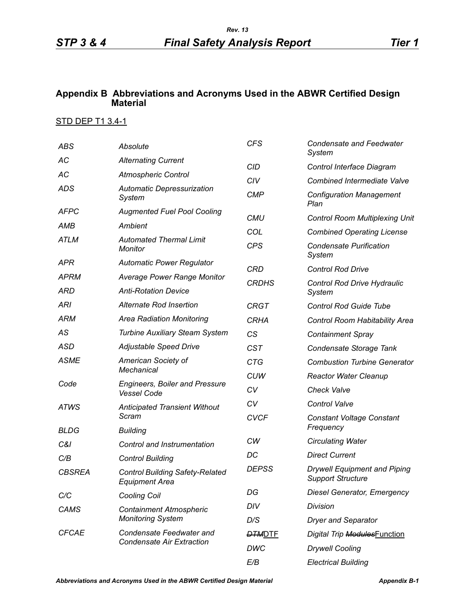## **Appendix B Abbreviations and Acronyms Used in the ABWR Certified Design Material**

## STD DEP T1 3.4-1

| <b>ABS</b>          | Absolute                                                        | <b>CFS</b>    | <b>Condensate and Feedwater</b><br>System                       |
|---------------------|-----------------------------------------------------------------|---------------|-----------------------------------------------------------------|
| AC                  | <b>Alternating Current</b>                                      | <b>CID</b>    | Control Interface Diagram                                       |
| AC                  | <b>Atmospheric Control</b>                                      | CIV           | <b>Combined Intermediate Valve</b>                              |
| ADS                 | <b>Automatic Depressurization</b><br>System                     | <b>CMP</b>    | <b>Configuration Management</b><br>Plan                         |
| <b>AFPC</b>         | <b>Augmented Fuel Pool Cooling</b>                              | <b>CMU</b>    | <b>Control Room Multiplexing Unit</b>                           |
| AMB                 | Ambient                                                         | COL           | <b>Combined Operating License</b>                               |
| <b>ATLM</b>         | <b>Automated Thermal Limit</b><br><b>Monitor</b>                | <b>CPS</b>    | <b>Condensate Purification</b><br>System                        |
| APR                 | <b>Automatic Power Regulator</b>                                | CRD           | <b>Control Rod Drive</b>                                        |
| <b>APRM</b>         | <b>Average Power Range Monitor</b>                              | <b>CRDHS</b>  |                                                                 |
| ARD                 | <b>Anti-Rotation Device</b>                                     |               | Control Rod Drive Hydraulic<br>System                           |
| <b>ARI</b>          | Alternate Rod Insertion                                         | <b>CRGT</b>   | <b>Control Rod Guide Tube</b>                                   |
| <b>ARM</b>          | <b>Area Radiation Monitoring</b>                                | <b>CRHA</b>   | Control Room Habitability Area                                  |
| AS                  | <b>Turbine Auxiliary Steam System</b>                           | CS            | <b>Containment Spray</b>                                        |
| ASD                 | Adjustable Speed Drive                                          | <b>CST</b>    | Condensate Storage Tank                                         |
| <b>ASME</b><br>Code | American Society of                                             | <b>CTG</b>    | <b>Combustion Turbine Generator</b>                             |
|                     | <b>Mechanical</b>                                               | <b>CUW</b>    | <b>Reactor Water Cleanup</b>                                    |
|                     | <b>Engineers, Boiler and Pressure</b><br><b>Vessel Code</b>     | CV            | <b>Check Valve</b>                                              |
| <b>ATWS</b>         | <b>Anticipated Transient Without</b>                            | CV            | <b>Control Valve</b>                                            |
|                     | Scram                                                           | <b>CVCF</b>   | <b>Constant Voltage Constant</b>                                |
| <b>BLDG</b>         | <b>Building</b>                                                 |               | Frequency                                                       |
| C&I                 | Control and Instrumentation                                     | CW            | <b>Circulating Water</b>                                        |
| C/B                 | <b>Control Building</b>                                         | DC            | <b>Direct Current</b>                                           |
| <b>CBSREA</b>       | <b>Control Building Safety-Related</b><br><b>Equipment Area</b> | <b>DEPSS</b>  | <b>Drywell Equipment and Piping</b><br><b>Support Structure</b> |
| C/C                 | <b>Cooling Coil</b>                                             | DG            | <b>Diesel Generator, Emergency</b>                              |
| <b>CAMS</b>         | <b>Containment Atmospheric</b><br><b>Monitoring System</b>      | DIV           | Division                                                        |
|                     |                                                                 | D/S           | <b>Dryer and Separator</b>                                      |
| <b>CFCAE</b>        | Condensate Feedwater and<br><b>Condensate Air Extraction</b>    | <b>DTMDTE</b> | Digital Trip ModulesFunction                                    |
|                     |                                                                 | <b>DWC</b>    | <b>Drywell Cooling</b>                                          |
|                     |                                                                 | E/B           | <b>Electrical Building</b>                                      |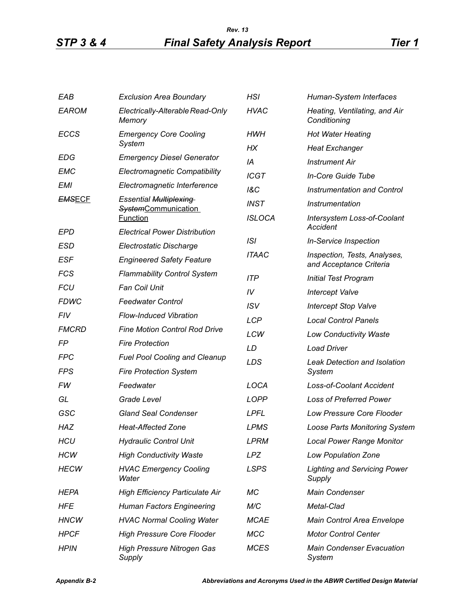## *STP 3 & 4 Final Safety Analysis Report Tier 1 Rev. 13*

| EAB           | <b>Exclusion Area Boundary</b>              | <b>HSI</b>     | Human-System Interfaces                                 |
|---------------|---------------------------------------------|----------------|---------------------------------------------------------|
| <b>EAROM</b>  | Electrically-Alterable Read-Only<br>Memory  | <b>HVAC</b>    | Heating, Ventilating, and Air<br>Conditioning           |
| <b>ECCS</b>   | <b>Emergency Core Cooling</b>               | HWH            | <b>Hot Water Heating</b>                                |
|               | System                                      | НX             | <b>Heat Exchanger</b>                                   |
| <b>EDG</b>    | <b>Emergency Diesel Generator</b>           | IA             | <b>Instrument Air</b>                                   |
| EMC           | <b>Electromagnetic Compatibility</b>        | <b>ICGT</b>    | In-Core Guide Tube                                      |
| <b>EMI</b>    | Electromagnetic Interference                | <b>1&amp;C</b> | Instrumentation and Control                             |
| <b>EMSECF</b> | <b>Essential Multiplexing</b>               | <b>INST</b>    | Instrumentation                                         |
|               | SystemCommunication<br><b>Function</b>      | <b>ISLOCA</b>  | Intersystem Loss-of-Coolant                             |
| EPD           | <b>Electrical Power Distribution</b>        |                | Accident                                                |
| ESD           | Electrostatic Discharge                     | ISI            | <b>In-Service Inspection</b>                            |
| <b>ESF</b>    | <b>Engineered Safety Feature</b>            | <b>ITAAC</b>   | Inspection, Tests, Analyses,<br>and Acceptance Criteria |
| <b>FCS</b>    | <b>Flammability Control System</b>          | <b>ITP</b>     | <b>Initial Test Program</b>                             |
| <b>FCU</b>    | <b>Fan Coil Unit</b>                        | IV             | <b>Intercept Valve</b>                                  |
| <b>FDWC</b>   | <b>Feedwater Control</b>                    | <b>ISV</b>     | <b>Intercept Stop Valve</b>                             |
| <b>FIV</b>    | <b>Flow-Induced Vibration</b>               | <b>LCP</b>     | <b>Local Control Panels</b>                             |
| <b>FMCRD</b>  | <b>Fine Motion Control Rod Drive</b>        | LCW            | <b>Low Conductivity Waste</b>                           |
| FP            | <b>Fire Protection</b>                      | LD             | <b>Load Driver</b>                                      |
| <b>FPC</b>    | <b>Fuel Pool Cooling and Cleanup</b>        | LDS            | <b>Leak Detection and Isolation</b>                     |
| FPS           | <b>Fire Protection System</b>               |                | System                                                  |
| FW            | Feedwater                                   | LOCA           | <b>Loss-of-Coolant Accident</b>                         |
| GL            | Grade Level                                 | <b>LOPP</b>    | <b>Loss of Preferred Power</b>                          |
| GSC           | <b>Gland Seal Condenser</b>                 | <b>LPFL</b>    | <b>Low Pressure Core Flooder</b>                        |
| HAZ           | <b>Heat-Affected Zone</b>                   | <b>LPMS</b>    | <b>Loose Parts Monitoring System</b>                    |
| HCU           | <b>Hydraulic Control Unit</b>               | <b>LPRM</b>    | <b>Local Power Range Monitor</b>                        |
| <b>HCW</b>    | <b>High Conductivity Waste</b>              | <b>LPZ</b>     | Low Population Zone                                     |
| <b>HECW</b>   | <b>HVAC Emergency Cooling</b><br>Water      | <b>LSPS</b>    | <b>Lighting and Servicing Power</b><br>Supply           |
| HEPA          | <b>High Efficiency Particulate Air</b>      | МC             | Main Condenser                                          |
| HFE           | <b>Human Factors Engineering</b>            | M/C            | Metal-Clad                                              |
| <b>HNCW</b>   | <b>HVAC Normal Cooling Water</b>            | <b>MCAE</b>    | Main Control Area Envelope                              |
| <b>HPCF</b>   | <b>High Pressure Core Flooder</b>           | <b>MCC</b>     | <b>Motor Control Center</b>                             |
| <b>HPIN</b>   | <b>High Pressure Nitrogen Gas</b><br>Supply | <b>MCES</b>    | <b>Main Condenser Evacuation</b><br>System              |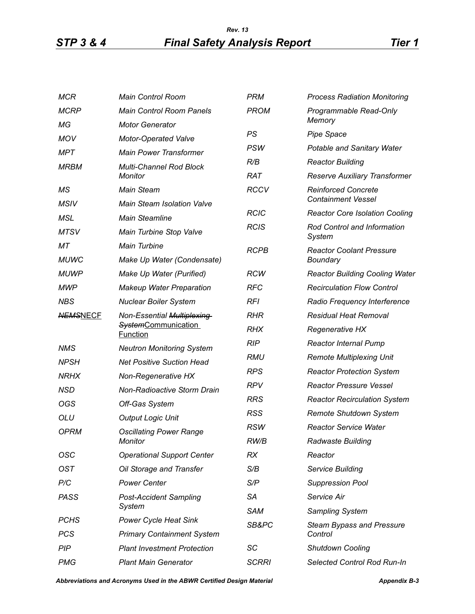## *STP 3 & 4 Final Safety Analysis Report Tier 1 Rev. 13*

| <b>MCR</b>      | Main Control Room                                                           | <b>PRM</b>   | <b>Process Radiation Monitoring</b>                     |
|-----------------|-----------------------------------------------------------------------------|--------------|---------------------------------------------------------|
| <b>MCRP</b>     | <b>Main Control Room Panels</b>                                             | <b>PROM</b>  | Programmable Read-Only                                  |
| МG              | <b>Motor Generator</b>                                                      |              | Memory                                                  |
| <b>MOV</b>      | <b>Motor-Operated Valve</b>                                                 | PS           | <b>Pipe Space</b>                                       |
| <b>MPT</b>      | <b>Main Power Transformer</b>                                               | <b>PSW</b>   | <b>Potable and Sanitary Water</b>                       |
| <b>MRBM</b>     | <b>Multi-Channel Rod Block</b><br><b>Monitor</b>                            | R/B          | <b>Reactor Building</b>                                 |
|                 |                                                                             | <b>RAT</b>   | Reserve Auxiliary Transformer                           |
| MS              | <b>Main Steam</b>                                                           | <b>RCCV</b>  | <b>Reinforced Concrete</b><br><b>Containment Vessel</b> |
| <b>MSIV</b>     | <b>Main Steam Isolation Valve</b>                                           | <b>RCIC</b>  | <b>Reactor Core Isolation Cooling</b>                   |
| <b>MSL</b>      | <b>Main Steamline</b>                                                       | <b>RCIS</b>  | Rod Control and Information                             |
| <b>MTSV</b>     | Main Turbine Stop Valve                                                     |              | System                                                  |
| МT              | <b>Main Turbine</b>                                                         | <b>RCPB</b>  | <b>Reactor Coolant Pressure</b>                         |
| <b>MUWC</b>     | Make Up Water (Condensate)                                                  |              | Boundary                                                |
| <b>MUWP</b>     | Make Up Water (Purified)                                                    | <b>RCW</b>   | <b>Reactor Building Cooling Water</b>                   |
| <b>MWP</b>      | <b>Makeup Water Preparation</b>                                             | <b>RFC</b>   | <b>Recirculation Flow Control</b>                       |
| <b>NBS</b>      | <b>Nuclear Boiler System</b>                                                | <b>RFI</b>   | Radio Frequency Interference                            |
| <b>NEMSNECF</b> | Non-Essential Multiplexing<br><b>SystemCommunication</b><br><b>Function</b> | <b>RHR</b>   | <b>Residual Heat Removal</b>                            |
|                 |                                                                             | <b>RHX</b>   | <b>Regenerative HX</b>                                  |
| <b>NMS</b>      | <b>Neutron Monitoring System</b>                                            | <b>RIP</b>   | <b>Reactor Internal Pump</b>                            |
| <b>NPSH</b>     | <b>Net Positive Suction Head</b>                                            | <b>RMU</b>   | <b>Remote Multiplexing Unit</b>                         |
| <b>NRHX</b>     | Non-Regenerative HX                                                         | <b>RPS</b>   | <b>Reactor Protection System</b>                        |
| NSD             | <b>Non-Radioactive Storm Drain</b>                                          | <b>RPV</b>   | <b>Reactor Pressure Vessel</b>                          |
| OGS             | Off-Gas System                                                              | <b>RRS</b>   | <b>Reactor Recirculation System</b>                     |
| OLU             | <b>Output Logic Unit</b>                                                    | <b>RSS</b>   | Remote Shutdown System                                  |
| <b>OPRM</b>     | <b>Oscillating Power Range</b><br>Monitor                                   | <b>RSW</b>   | <b>Reactor Service Water</b>                            |
|                 |                                                                             | RW/B         | Radwaste Building                                       |
| OSC             | <b>Operational Support Center</b>                                           | RX           | Reactor                                                 |
| <b>OST</b>      | Oil Storage and Transfer                                                    | S/B          | Service Building                                        |
| P/C             | <b>Power Center</b>                                                         | S/P          | <b>Suppression Pool</b>                                 |
| <b>PASS</b>     | <b>Post-Accident Sampling</b>                                               | SA           | Service Air                                             |
|                 | System                                                                      | <b>SAM</b>   | Sampling System                                         |
| <b>PCHS</b>     | <b>Power Cycle Heat Sink</b>                                                | SB&PC        | <b>Steam Bypass and Pressure</b>                        |
| <b>PCS</b>      | <b>Primary Containment System</b>                                           |              | Control                                                 |
| PIP             | <b>Plant Investment Protection</b>                                          | SC           | <b>Shutdown Cooling</b>                                 |
| <b>PMG</b>      | <b>Plant Main Generator</b>                                                 | <b>SCRRI</b> | Selected Control Rod Run-In                             |

*Abbreviations and Acronyms Used in the ABWR Certified Design Material Appendix B-3*